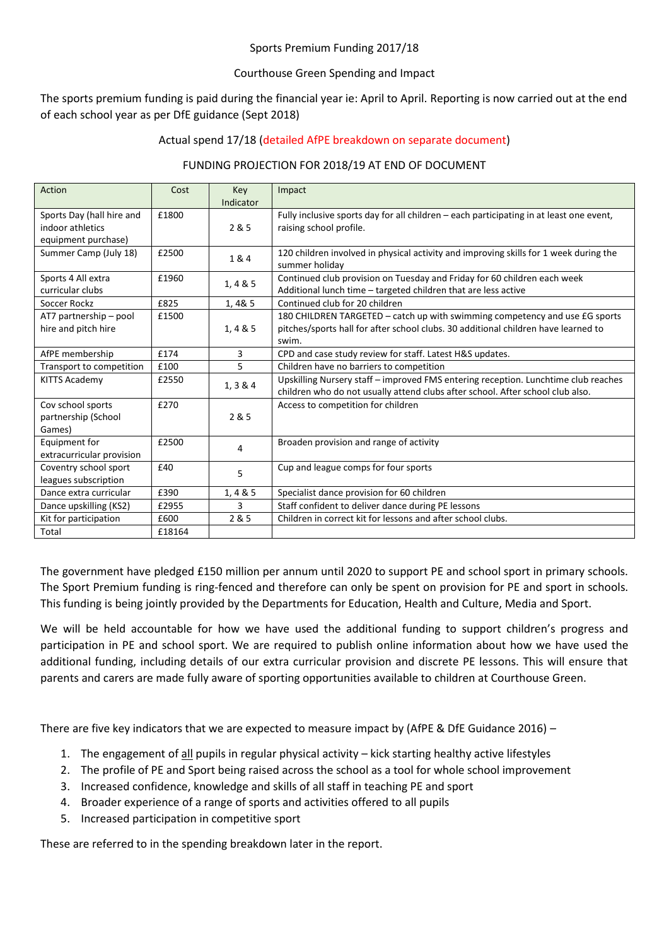#### Sports Premium Funding 2017/18

## Courthouse Green Spending and Impact

The sports premium funding is paid during the financial year ie: April to April. Reporting is now carried out at the end of each school year as per DfE guidance (Sept 2018)

# Actual spend 17/18 (detailed AfPE breakdown on separate document)

## FUNDING PROJECTION FOR 2018/19 AT END OF DOCUMENT

| Action                                                               | Cost   | Key<br>Indicator | Impact                                                                                                                                                                     |
|----------------------------------------------------------------------|--------|------------------|----------------------------------------------------------------------------------------------------------------------------------------------------------------------------|
| Sports Day (hall hire and<br>indoor athletics<br>equipment purchase) | £1800  | 2 & 5            | Fully inclusive sports day for all children - each participating in at least one event,<br>raising school profile.                                                         |
| Summer Camp (July 18)                                                | £2500  | 1 & 4            | 120 children involved in physical activity and improving skills for 1 week during the<br>summer holiday                                                                    |
| Sports 4 All extra<br>curricular clubs                               | £1960  | 1, 485           | Continued club provision on Tuesday and Friday for 60 children each week<br>Additional lunch time - targeted children that are less active                                 |
| Soccer Rockz                                                         | £825   | 1,4&5            | Continued club for 20 children                                                                                                                                             |
| AT7 partnership - pool<br>hire and pitch hire                        | £1500  | 1, 485           | 180 CHILDREN TARGETED - catch up with swimming competency and use £G sports<br>pitches/sports hall for after school clubs. 30 additional children have learned to<br>swim. |
| AfPE membership                                                      | £174   | 3                | CPD and case study review for staff. Latest H&S updates.                                                                                                                   |
| Transport to competition                                             | £100   | 5                | Children have no barriers to competition                                                                                                                                   |
| <b>KITTS Academy</b>                                                 | £2550  | 1, 3 & 4         | Upskilling Nursery staff - improved FMS entering reception. Lunchtime club reaches<br>children who do not usually attend clubs after school. After school club also.       |
| Cov school sports<br>partnership (School<br>Games)                   | £270   | 2 & 5            | Access to competition for children                                                                                                                                         |
| Equipment for<br>extracurricular provision                           | £2500  | 4                | Broaden provision and range of activity                                                                                                                                    |
| Coventry school sport<br>leagues subscription                        | £40    | 5                | Cup and league comps for four sports                                                                                                                                       |
| Dance extra curricular                                               | £390   | 1, 4 & 5         | Specialist dance provision for 60 children                                                                                                                                 |
| Dance upskilling (KS2)                                               | £2955  | 3                | Staff confident to deliver dance during PE lessons                                                                                                                         |
| Kit for participation                                                | £600   | 2 & 5            | Children in correct kit for lessons and after school clubs.                                                                                                                |
| Total                                                                | £18164 |                  |                                                                                                                                                                            |

The government have pledged £150 million per annum until 2020 to support PE and school sport in primary schools. The Sport Premium funding is ring-fenced and therefore can only be spent on provision for PE and sport in schools. This funding is being jointly provided by the Departments for Education, Health and Culture, Media and Sport.

We will be held accountable for how we have used the additional funding to support children's progress and participation in PE and school sport. We are required to publish online information about how we have used the additional funding, including details of our extra curricular provision and discrete PE lessons. This will ensure that parents and carers are made fully aware of sporting opportunities available to children at Courthouse Green.

There are five key indicators that we are expected to measure impact by (AfPE & DfE Guidance 2016) –

- 1. The engagement of all pupils in regular physical activity kick starting healthy active lifestyles
- 2. The profile of PE and Sport being raised across the school as a tool for whole school improvement
- 3. Increased confidence, knowledge and skills of all staff in teaching PE and sport
- 4. Broader experience of a range of sports and activities offered to all pupils
- 5. Increased participation in competitive sport

These are referred to in the spending breakdown later in the report.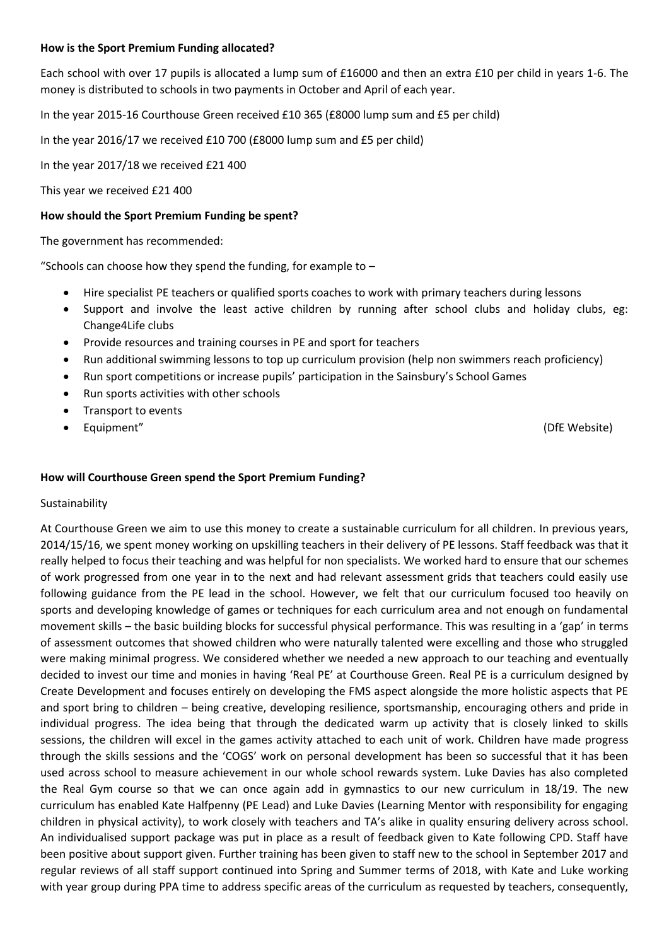## **How is the Sport Premium Funding allocated?**

Each school with over 17 pupils is allocated a lump sum of £16000 and then an extra £10 per child in years 1-6. The money is distributed to schools in two payments in October and April of each year.

In the year 2015-16 Courthouse Green received £10 365 (£8000 lump sum and £5 per child)

In the year 2016/17 we received £10 700 (£8000 lump sum and £5 per child)

In the year 2017/18 we received £21 400

This year we received £21 400

## **How should the Sport Premium Funding be spent?**

The government has recommended:

"Schools can choose how they spend the funding, for example to  $-$ 

- Hire specialist PE teachers or qualified sports coaches to work with primary teachers during lessons
- Support and involve the least active children by running after school clubs and holiday clubs, eg: Change4Life clubs
- Provide resources and training courses in PE and sport for teachers
- Run additional swimming lessons to top up curriculum provision (help non swimmers reach proficiency)
- Run sport competitions or increase pupils' participation in the Sainsbury's School Games
- Run sports activities with other schools
- Transport to events
- Equipment" (DfE Website)

## **How will Courthouse Green spend the Sport Premium Funding?**

#### Sustainability

At Courthouse Green we aim to use this money to create a sustainable curriculum for all children. In previous years, 2014/15/16, we spent money working on upskilling teachers in their delivery of PE lessons. Staff feedback was that it really helped to focus their teaching and was helpful for non specialists. We worked hard to ensure that our schemes of work progressed from one year in to the next and had relevant assessment grids that teachers could easily use following guidance from the PE lead in the school. However, we felt that our curriculum focused too heavily on sports and developing knowledge of games or techniques for each curriculum area and not enough on fundamental movement skills – the basic building blocks for successful physical performance. This was resulting in a 'gap' in terms of assessment outcomes that showed children who were naturally talented were excelling and those who struggled were making minimal progress. We considered whether we needed a new approach to our teaching and eventually decided to invest our time and monies in having 'Real PE' at Courthouse Green. Real PE is a curriculum designed by Create Development and focuses entirely on developing the FMS aspect alongside the more holistic aspects that PE and sport bring to children – being creative, developing resilience, sportsmanship, encouraging others and pride in individual progress. The idea being that through the dedicated warm up activity that is closely linked to skills sessions, the children will excel in the games activity attached to each unit of work. Children have made progress through the skills sessions and the 'COGS' work on personal development has been so successful that it has been used across school to measure achievement in our whole school rewards system. Luke Davies has also completed the Real Gym course so that we can once again add in gymnastics to our new curriculum in 18/19. The new curriculum has enabled Kate Halfpenny (PE Lead) and Luke Davies (Learning Mentor with responsibility for engaging children in physical activity), to work closely with teachers and TA's alike in quality ensuring delivery across school. An individualised support package was put in place as a result of feedback given to Kate following CPD. Staff have been positive about support given. Further training has been given to staff new to the school in September 2017 and regular reviews of all staff support continued into Spring and Summer terms of 2018, with Kate and Luke working with year group during PPA time to address specific areas of the curriculum as requested by teachers, consequently,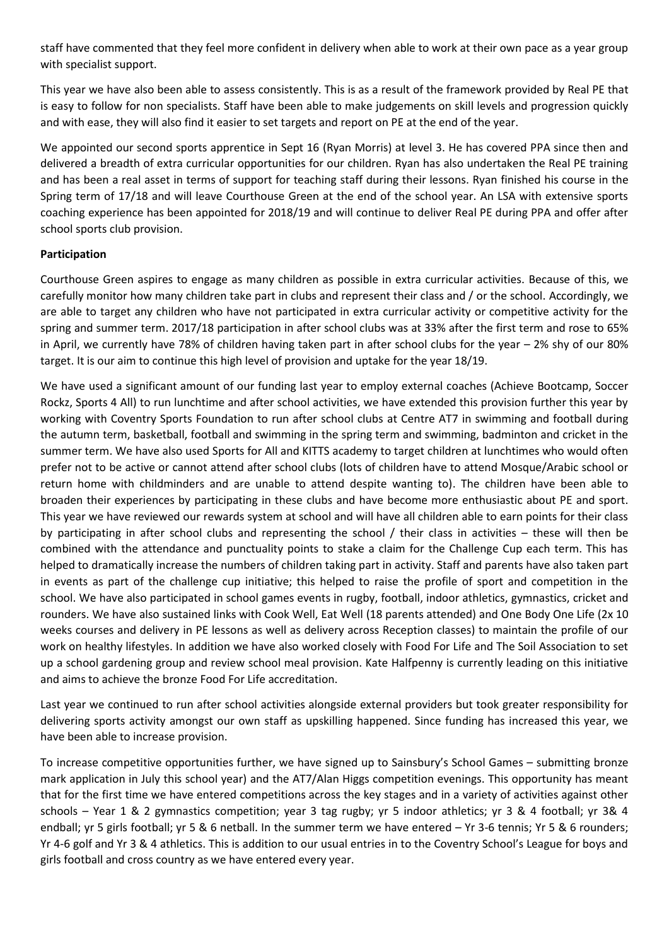staff have commented that they feel more confident in delivery when able to work at their own pace as a year group with specialist support.

This year we have also been able to assess consistently. This is as a result of the framework provided by Real PE that is easy to follow for non specialists. Staff have been able to make judgements on skill levels and progression quickly and with ease, they will also find it easier to set targets and report on PE at the end of the year.

We appointed our second sports apprentice in Sept 16 (Ryan Morris) at level 3. He has covered PPA since then and delivered a breadth of extra curricular opportunities for our children. Ryan has also undertaken the Real PE training and has been a real asset in terms of support for teaching staff during their lessons. Ryan finished his course in the Spring term of 17/18 and will leave Courthouse Green at the end of the school year. An LSA with extensive sports coaching experience has been appointed for 2018/19 and will continue to deliver Real PE during PPA and offer after school sports club provision.

# **Participation**

Courthouse Green aspires to engage as many children as possible in extra curricular activities. Because of this, we carefully monitor how many children take part in clubs and represent their class and / or the school. Accordingly, we are able to target any children who have not participated in extra curricular activity or competitive activity for the spring and summer term. 2017/18 participation in after school clubs was at 33% after the first term and rose to 65% in April, we currently have 78% of children having taken part in after school clubs for the year – 2% shy of our 80% target. It is our aim to continue this high level of provision and uptake for the year 18/19.

We have used a significant amount of our funding last year to employ external coaches (Achieve Bootcamp, Soccer Rockz, Sports 4 All) to run lunchtime and after school activities, we have extended this provision further this year by working with Coventry Sports Foundation to run after school clubs at Centre AT7 in swimming and football during the autumn term, basketball, football and swimming in the spring term and swimming, badminton and cricket in the summer term. We have also used Sports for All and KITTS academy to target children at lunchtimes who would often prefer not to be active or cannot attend after school clubs (lots of children have to attend Mosque/Arabic school or return home with childminders and are unable to attend despite wanting to). The children have been able to broaden their experiences by participating in these clubs and have become more enthusiastic about PE and sport. This year we have reviewed our rewards system at school and will have all children able to earn points for their class by participating in after school clubs and representing the school / their class in activities – these will then be combined with the attendance and punctuality points to stake a claim for the Challenge Cup each term. This has helped to dramatically increase the numbers of children taking part in activity. Staff and parents have also taken part in events as part of the challenge cup initiative; this helped to raise the profile of sport and competition in the school. We have also participated in school games events in rugby, football, indoor athletics, gymnastics, cricket and rounders. We have also sustained links with Cook Well, Eat Well (18 parents attended) and One Body One Life (2x 10 weeks courses and delivery in PE lessons as well as delivery across Reception classes) to maintain the profile of our work on healthy lifestyles. In addition we have also worked closely with Food For Life and The Soil Association to set up a school gardening group and review school meal provision. Kate Halfpenny is currently leading on this initiative and aims to achieve the bronze Food For Life accreditation.

Last year we continued to run after school activities alongside external providers but took greater responsibility for delivering sports activity amongst our own staff as upskilling happened. Since funding has increased this year, we have been able to increase provision.

To increase competitive opportunities further, we have signed up to Sainsbury's School Games – submitting bronze mark application in July this school year) and the AT7/Alan Higgs competition evenings. This opportunity has meant that for the first time we have entered competitions across the key stages and in a variety of activities against other schools – Year 1 & 2 gymnastics competition; year 3 tag rugby; yr 5 indoor athletics; yr 3 & 4 football; yr 3& 4 endball; yr 5 girls football; yr 5 & 6 netball. In the summer term we have entered – Yr 3-6 tennis; Yr 5 & 6 rounders; Yr 4-6 golf and Yr 3 & 4 athletics. This is addition to our usual entries in to the Coventry School's League for boys and girls football and cross country as we have entered every year.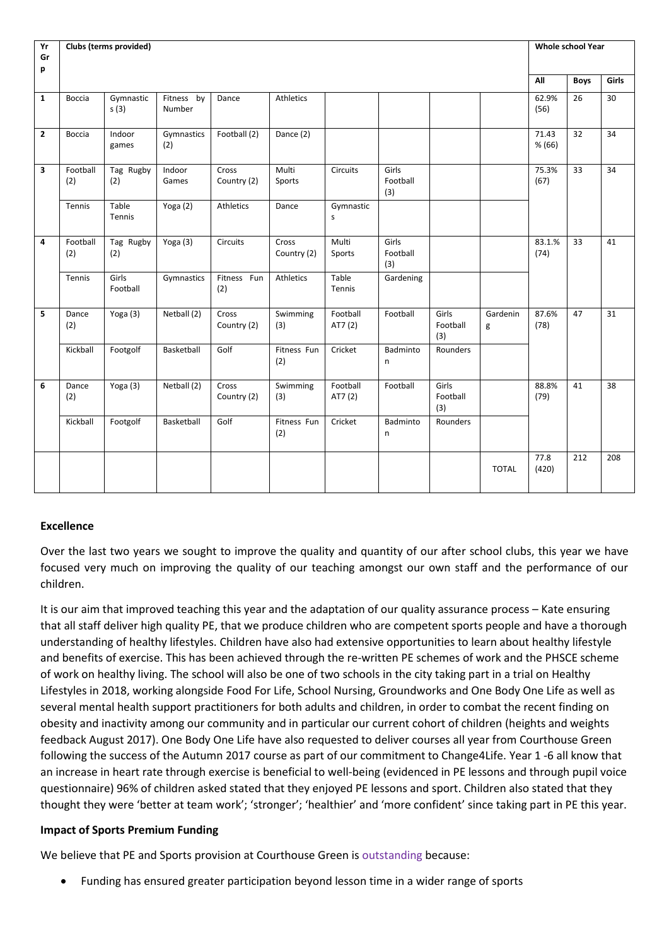| Yr           | Clubs (terms provided)<br><b>Whole school Year</b> |                   |                      |                      |                      |                     |                          |                          |               |                 |             |       |
|--------------|----------------------------------------------------|-------------------|----------------------|----------------------|----------------------|---------------------|--------------------------|--------------------------|---------------|-----------------|-------------|-------|
| Gr<br>p      |                                                    |                   |                      |                      |                      |                     |                          |                          |               |                 |             |       |
|              |                                                    |                   |                      |                      |                      |                     |                          |                          |               | All             | <b>Boys</b> | Girls |
| $\mathbf{1}$ | <b>Boccia</b>                                      | Gymnastic<br>s(3) | Fitness by<br>Number | Dance                | Athletics            |                     |                          |                          |               | 62.9%<br>(56)   | 26          | 30    |
| $\mathbf{2}$ | Boccia                                             | Indoor<br>games   | Gymnastics<br>(2)    | Football (2)         | Dance (2)            |                     |                          |                          |               | 71.43<br>% (66) | 32          | 34    |
| 3            | Football<br>(2)                                    | Tag Rugby<br>(2)  | Indoor<br>Games      | Cross<br>Country (2) | Multi<br>Sports      | Circuits            | Girls<br>Football<br>(3) |                          |               | 75.3%<br>(67)   | 33          | 34    |
|              | Tennis                                             | Table<br>Tennis   | Yoga (2)             | Athletics            | Dance                | Gymnastic<br>s      |                          |                          |               |                 |             |       |
| 4            | Football<br>(2)                                    | Tag Rugby<br>(2)  | Yoga (3)             | Circuits             | Cross<br>Country (2) | Multi<br>Sports     | Girls<br>Football<br>(3) |                          |               | 83.1.%<br>(74)  | 33          | 41    |
|              | Tennis                                             | Girls<br>Football | Gymnastics           | Fitness Fun<br>(2)   | <b>Athletics</b>     | Table<br>Tennis     | Gardening                |                          |               |                 |             |       |
| 5            | Dance<br>(2)                                       | Yoga (3)          | Netball (2)          | Cross<br>Country (2) | Swimming<br>(3)      | Football<br>AT7 (2) | Football                 | Girls<br>Football<br>(3) | Gardenin<br>g | 87.6%<br>(78)   | 47          | 31    |
|              | Kickball                                           | Footgolf          | Basketball           | Golf                 | Fitness Fun<br>(2)   | Cricket             | Badminto<br>n            | Rounders                 |               |                 |             |       |
| 6            | Dance<br>(2)                                       | Yoga (3)          | Netball (2)          | Cross<br>Country (2) | Swimming<br>(3)      | Football<br>AT7 (2) | Football                 | Girls<br>Football<br>(3) |               | 88.8%<br>(79)   | 41          | 38    |
|              | Kickball                                           | Footgolf          | Basketball           | Golf                 | Fitness Fun<br>(2)   | Cricket             | Badminto<br>n            | Rounders                 |               |                 |             |       |
|              |                                                    |                   |                      |                      |                      |                     |                          |                          | <b>TOTAL</b>  | 77.8<br>(420)   | 212         | 208   |

# **Excellence**

Over the last two years we sought to improve the quality and quantity of our after school clubs, this year we have focused very much on improving the quality of our teaching amongst our own staff and the performance of our children.

It is our aim that improved teaching this year and the adaptation of our quality assurance process – Kate ensuring that all staff deliver high quality PE, that we produce children who are competent sports people and have a thorough understanding of healthy lifestyles. Children have also had extensive opportunities to learn about healthy lifestyle and benefits of exercise. This has been achieved through the re-written PE schemes of work and the PHSCE scheme of work on healthy living. The school will also be one of two schools in the city taking part in a trial on Healthy Lifestyles in 2018, working alongside Food For Life, School Nursing, Groundworks and One Body One Life as well as several mental health support practitioners for both adults and children, in order to combat the recent finding on obesity and inactivity among our community and in particular our current cohort of children (heights and weights feedback August 2017). One Body One Life have also requested to deliver courses all year from Courthouse Green following the success of the Autumn 2017 course as part of our commitment to Change4Life. Year 1 -6 all know that an increase in heart rate through exercise is beneficial to well-being (evidenced in PE lessons and through pupil voice questionnaire) 96% of children asked stated that they enjoyed PE lessons and sport. Children also stated that they thought they were 'better at team work'; 'stronger'; 'healthier' and 'more confident' since taking part in PE this year.

#### **Impact of Sports Premium Funding**

We believe that PE and Sports provision at Courthouse Green is outstanding because:

Funding has ensured greater participation beyond lesson time in a wider range of sports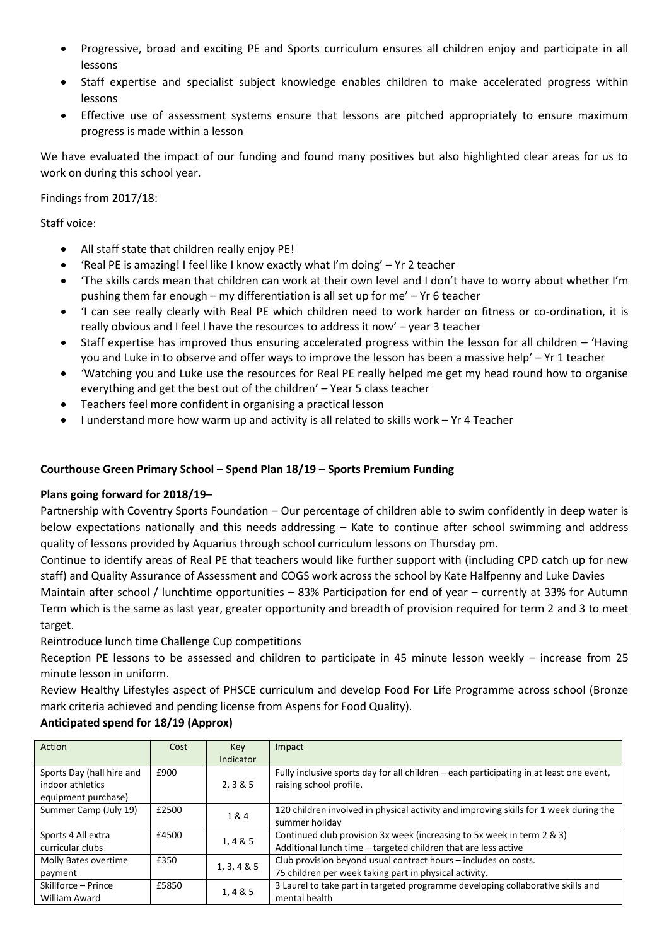- Progressive, broad and exciting PE and Sports curriculum ensures all children enjoy and participate in all lessons
- Staff expertise and specialist subject knowledge enables children to make accelerated progress within lessons
- Effective use of assessment systems ensure that lessons are pitched appropriately to ensure maximum progress is made within a lesson

We have evaluated the impact of our funding and found many positives but also highlighted clear areas for us to work on during this school year.

Findings from 2017/18:

Staff voice:

- All staff state that children really enjoy PE!
- 'Real PE is amazing! I feel like I know exactly what I'm doing' Yr 2 teacher
- 'The skills cards mean that children can work at their own level and I don't have to worry about whether I'm pushing them far enough – my differentiation is all set up for me' – Yr 6 teacher
- 'I can see really clearly with Real PE which children need to work harder on fitness or co-ordination, it is really obvious and I feel I have the resources to address it now' – year 3 teacher
- Staff expertise has improved thus ensuring accelerated progress within the lesson for all children 'Having you and Luke in to observe and offer ways to improve the lesson has been a massive help' – Yr 1 teacher
- 'Watching you and Luke use the resources for Real PE really helped me get my head round how to organise everything and get the best out of the children' – Year 5 class teacher
- Teachers feel more confident in organising a practical lesson
- I understand more how warm up and activity is all related to skills work Yr 4 Teacher

# **Courthouse Green Primary School – Spend Plan 18/19 – Sports Premium Funding**

# **Plans going forward for 2018/19–**

Partnership with Coventry Sports Foundation – Our percentage of children able to swim confidently in deep water is below expectations nationally and this needs addressing – Kate to continue after school swimming and address quality of lessons provided by Aquarius through school curriculum lessons on Thursday pm.

Continue to identify areas of Real PE that teachers would like further support with (including CPD catch up for new staff) and Quality Assurance of Assessment and COGS work across the school by Kate Halfpenny and Luke Davies Maintain after school / lunchtime opportunities – 83% Participation for end of year – currently at 33% for Autumn Term which is the same as last year, greater opportunity and breadth of provision required for term 2 and 3 to meet

target.

Reintroduce lunch time Challenge Cup competitions

Reception PE lessons to be assessed and children to participate in 45 minute lesson weekly – increase from 25 minute lesson in uniform.

Review Healthy Lifestyles aspect of PHSCE curriculum and develop Food For Life Programme across school (Bronze mark criteria achieved and pending license from Aspens for Food Quality).

# **Anticipated spend for 18/19 (Approx)**

| Action                    | Cost  | Key         | Impact                                                                                  |
|---------------------------|-------|-------------|-----------------------------------------------------------------------------------------|
|                           |       | Indicator   |                                                                                         |
| Sports Day (hall hire and | £900  |             | Fully inclusive sports day for all children - each participating in at least one event, |
| indoor athletics          |       | 2, 3 & 5    | raising school profile.                                                                 |
| equipment purchase)       |       |             |                                                                                         |
| Summer Camp (July 19)     | £2500 |             | 120 children involved in physical activity and improving skills for 1 week during the   |
|                           |       | 1&4         | summer holiday                                                                          |
| Sports 4 All extra        | £4500 |             | Continued club provision 3x week (increasing to 5x week in term 2 & 3)                  |
| curricular clubs          |       | 1, 4 & 5    | Additional lunch time - targeted children that are less active                          |
| Molly Bates overtime      | £350  |             | Club provision beyond usual contract hours - includes on costs.                         |
| payment                   |       | 1, 3, 4 & 5 | 75 children per week taking part in physical activity.                                  |
| Skillforce – Prince       | £5850 |             | 3 Laurel to take part in targeted programme developing collaborative skills and         |
| William Award             |       | 1,4 & 5     | mental health                                                                           |